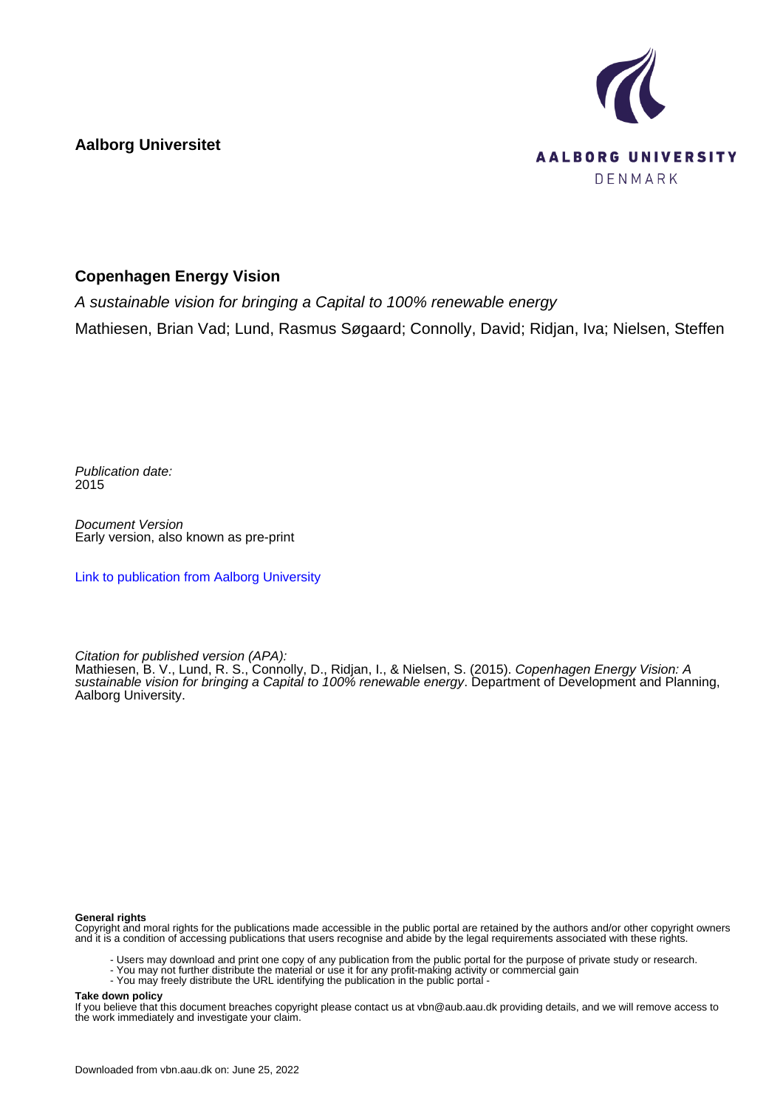**Aalborg Universitet**



## **Copenhagen Energy Vision**

A sustainable vision for bringing a Capital to 100% renewable energy Mathiesen, Brian Vad; Lund, Rasmus Søgaard; Connolly, David; Ridjan, Iva; Nielsen, Steffen

Publication date: 2015

Document Version Early version, also known as pre-print

[Link to publication from Aalborg University](https://vbn.aau.dk/en/publications/ccf7d834-06d0-4666-bd52-50c22c0ea96e)

Citation for published version (APA):

Mathiesen, B. V., Lund, R. S., Connolly, D., Ridjan, I., & Nielsen, S. (2015). Copenhagen Energy Vision: A sustainable vision for bringing a Capital to 100% renewable energy. Department of Development and Planning, Aalborg University.

## **General rights**

Copyright and moral rights for the publications made accessible in the public portal are retained by the authors and/or other copyright owners and it is a condition of accessing publications that users recognise and abide by the legal requirements associated with these rights.

- Users may download and print one copy of any publication from the public portal for the purpose of private study or research.
- You may not further distribute the material or use it for any profit-making activity or commercial gain
- You may freely distribute the URL identifying the publication in the public portal -

## **Take down policy**

If you believe that this document breaches copyright please contact us at vbn@aub.aau.dk providing details, and we will remove access to the work immediately and investigate your claim.